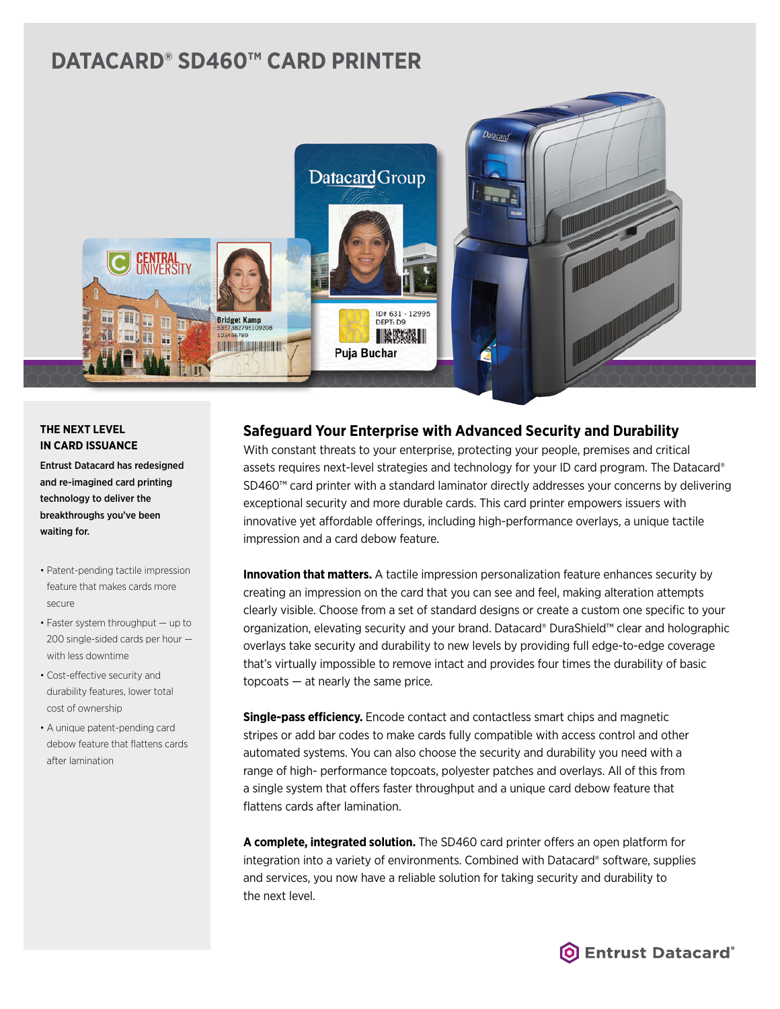# **DATACARD® SD460™ CARD PRINTER**



### **THE NEXT LEVEL IN CARD ISSUANCE**

Entrust Datacard has redesigned and re-imagined card printing technology to deliver the breakthroughs you've been waiting for.

- Patent-pending tactile impression feature that makes cards more secure
- Faster system throughput up to 200 single-sided cards per hour with less downtime
- Cost-effective security and durability features, lower total cost of ownership
- A unique patent-pending card debow feature that flattens cards after lamination

## **Safeguard Your Enterprise with Advanced Security and Durability**

With constant threats to your enterprise, protecting your people, premises and critical assets requires next-level strategies and technology for your ID card program. The Datacard® SD460™ card printer with a standard laminator directly addresses your concerns by delivering exceptional security and more durable cards. This card printer empowers issuers with innovative yet affordable offerings, including high-performance overlays, a unique tactile impression and a card debow feature.

**Innovation that matters.** A tactile impression personalization feature enhances security by creating an impression on the card that you can see and feel, making alteration attempts clearly visible. Choose from a set of standard designs or create a custom one specific to your organization, elevating security and your brand. Datacard® DuraShield™ clear and holographic overlays take security and durability to new levels by providing full edge-to-edge coverage that's virtually impossible to remove intact and provides four times the durability of basic topcoats — at nearly the same price.

**Single-pass efficiency.** Encode contact and contactless smart chips and magnetic stripes or add bar codes to make cards fully compatible with access control and other automated systems. You can also choose the security and durability you need with a range of high- performance topcoats, polyester patches and overlays. All of this from a single system that offers faster throughput and a unique card debow feature that flattens cards after lamination.

**A complete, integrated solution.** The SD460 card printer offers an open platform for integration into a variety of environments. Combined with Datacard® software, supplies and services, you now have a reliable solution for taking security and durability to the next level.